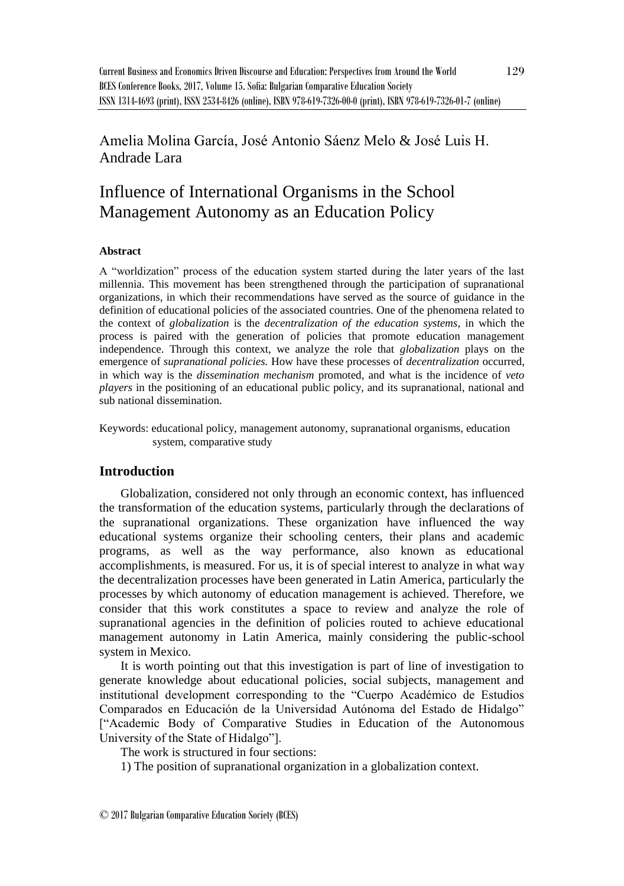Amelia Molina García, José Antonio Sáenz Melo & José Luis H. Andrade Lara

# Influence of International Organisms in the School Management Autonomy as an Education Policy

### **Abstract**

A "worldization" process of the education system started during the later years of the last millennia. This movement has been strengthened through the participation of supranational organizations, in which their recommendations have served as the source of guidance in the definition of educational policies of the associated countries. One of the phenomena related to the context of *globalization* is the *decentralization of the education systems*, in which the process is paired with the generation of policies that promote education management independence. Through this context, we analyze the role that *globalization* plays on the emergence of *supranational policies.* How have these processes of *decentralization* occurred, in which way is the *dissemination mechanism* promoted, and what is the incidence of *veto players* in the positioning of an educational public policy, and its supranational, national and sub national dissemination.

Keywords: educational policy, management autonomy, supranational organisms, education system, comparative study

# **Introduction**

Globalization, considered not only through an economic context, has influenced the transformation of the education systems, particularly through the declarations of the supranational organizations. These organization have influenced the way educational systems organize their schooling centers, their plans and academic programs, as well as the way performance, also known as educational accomplishments, is measured. For us, it is of special interest to analyze in what way the decentralization processes have been generated in Latin America, particularly the processes by which autonomy of education management is achieved. Therefore, we consider that this work constitutes a space to review and analyze the role of supranational agencies in the definition of policies routed to achieve educational management autonomy in Latin America, mainly considering the public-school system in Mexico.

It is worth pointing out that this investigation is part of line of investigation to generate knowledge about educational policies, social subjects, management and institutional development corresponding to the "Cuerpo Académico de Estudios Comparados en Educación de la Universidad Autónoma del Estado de Hidalgo" ["Academic Body of Comparative Studies in Education of the Autonomous University of the State of Hidalgo"].

The work is structured in four sections:

1) The position of supranational organization in a globalization context.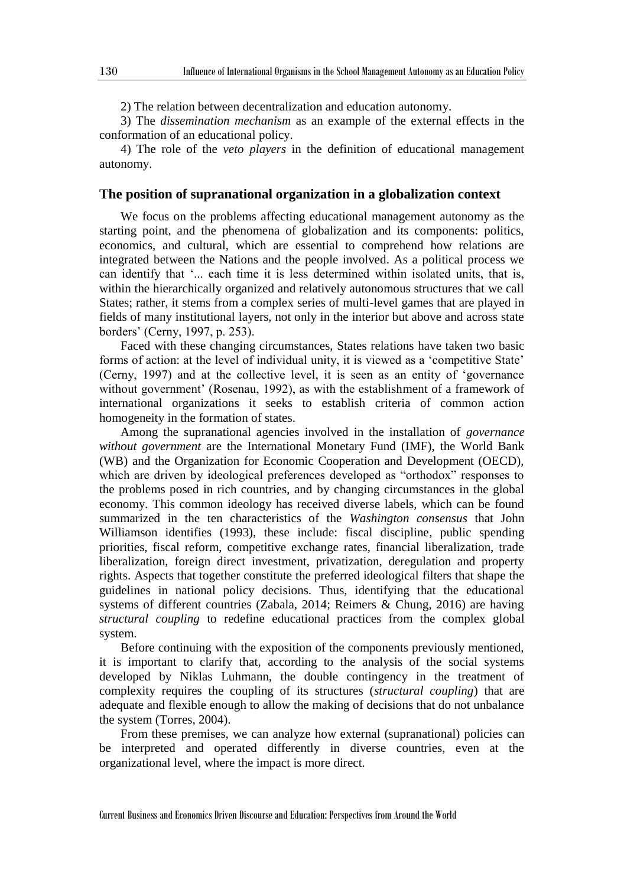2) The relation between decentralization and education autonomy.

3) The *dissemination mechanism* as an example of the external effects in the conformation of an educational policy.

4) The role of the *veto players* in the definition of educational management autonomy.

#### **The position of supranational organization in a globalization context**

We focus on the problems affecting educational management autonomy as the starting point, and the phenomena of globalization and its components: politics, economics, and cultural, which are essential to comprehend how relations are integrated between the Nations and the people involved. As a political process we can identify that '... each time it is less determined within isolated units, that is, within the hierarchically organized and relatively autonomous structures that we call States; rather, it stems from a complex series of multi-level games that are played in fields of many institutional layers, not only in the interior but above and across state borders' (Cerny, 1997, p. 253).

Faced with these changing circumstances, States relations have taken two basic forms of action: at the level of individual unity, it is viewed as a 'competitive State' (Cerny, 1997) and at the collective level, it is seen as an entity of 'governance without government' (Rosenau, 1992), as with the establishment of a framework of international organizations it seeks to establish criteria of common action homogeneity in the formation of states.

Among the supranational agencies involved in the installation of *governance without government* are the International Monetary Fund (IMF), the World Bank (WB) and the Organization for Economic Cooperation and Development (OECD), which are driven by ideological preferences developed as "orthodox" responses to the problems posed in rich countries, and by changing circumstances in the global economy. This common ideology has received diverse labels, which can be found summarized in the ten characteristics of the *Washington consensus* that John Williamson identifies (1993), these include: fiscal discipline, public spending priorities, fiscal reform, competitive exchange rates, financial liberalization, trade liberalization, foreign direct investment, privatization, deregulation and property rights. Aspects that together constitute the preferred ideological filters that shape the guidelines in national policy decisions. Thus, identifying that the educational systems of different countries (Zabala, 2014; Reimers & Chung, 2016) are having *structural coupling* to redefine educational practices from the complex global system.

Before continuing with the exposition of the components previously mentioned, it is important to clarify that, according to the analysis of the social systems developed by Niklas Luhmann, the double contingency in the treatment of complexity requires the coupling of its structures (*structural coupling*) that are adequate and flexible enough to allow the making of decisions that do not unbalance the system (Torres, 2004).

From these premises, we can analyze how external (supranational) policies can be interpreted and operated differently in diverse countries, even at the organizational level, where the impact is more direct.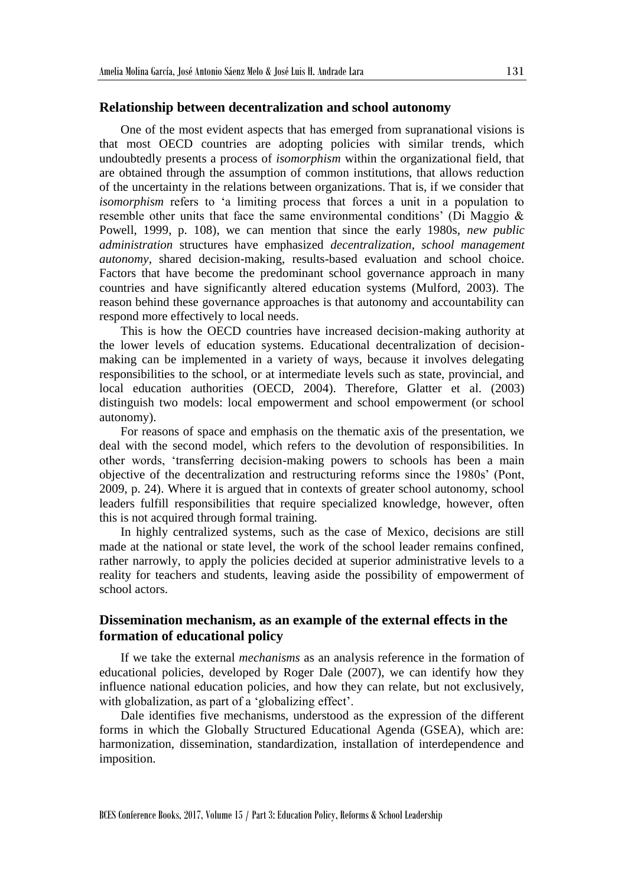#### **Relationship between decentralization and school autonomy**

One of the most evident aspects that has emerged from supranational visions is that most OECD countries are adopting policies with similar trends, which undoubtedly presents a process of *isomorphism* within the organizational field, that are obtained through the assumption of common institutions, that allows reduction of the uncertainty in the relations between organizations. That is, if we consider that *isomorphism* refers to 'a limiting process that forces a unit in a population to resemble other units that face the same environmental conditions' (Di Maggio & Powell, 1999, p. 108), we can mention that since the early 1980s, *new public administration* structures have emphasized *decentralization*, *school management autonomy*, shared decision-making, results-based evaluation and school choice. Factors that have become the predominant school governance approach in many countries and have significantly altered education systems (Mulford, 2003). The reason behind these governance approaches is that autonomy and accountability can respond more effectively to local needs.

This is how the OECD countries have increased decision-making authority at the lower levels of education systems. Educational decentralization of decisionmaking can be implemented in a variety of ways, because it involves delegating responsibilities to the school, or at intermediate levels such as state, provincial, and local education authorities (OECD, 2004). Therefore, Glatter et al. (2003) distinguish two models: local empowerment and school empowerment (or school autonomy).

For reasons of space and emphasis on the thematic axis of the presentation, we deal with the second model, which refers to the devolution of responsibilities. In other words, 'transferring decision-making powers to schools has been a main objective of the decentralization and restructuring reforms since the 1980s' (Pont, 2009, p. 24). Where it is argued that in contexts of greater school autonomy, school leaders fulfill responsibilities that require specialized knowledge, however, often this is not acquired through formal training.

In highly centralized systems, such as the case of Mexico, decisions are still made at the national or state level, the work of the school leader remains confined, rather narrowly, to apply the policies decided at superior administrative levels to a reality for teachers and students, leaving aside the possibility of empowerment of school actors.

## **Dissemination mechanism, as an example of the external effects in the formation of educational policy**

If we take the external *mechanisms* as an analysis reference in the formation of educational policies, developed by Roger Dale (2007), we can identify how they influence national education policies, and how they can relate, but not exclusively, with globalization, as part of a 'globalizing effect'.

Dale identifies five mechanisms, understood as the expression of the different forms in which the Globally Structured Educational Agenda (GSEA), which are: harmonization, dissemination, standardization, installation of interdependence and imposition.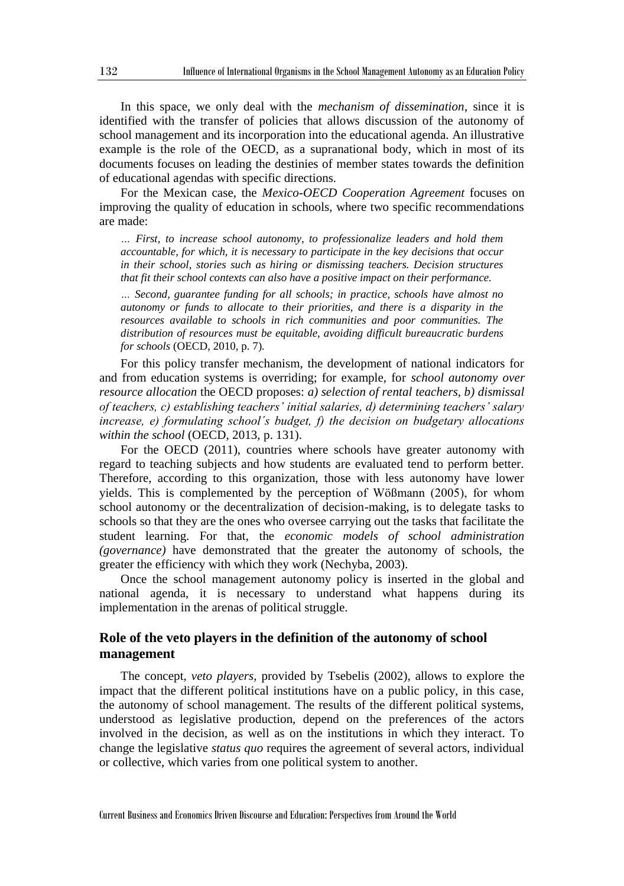In this space, we only deal with the *mechanism of dissemination*, since it is identified with the transfer of policies that allows discussion of the autonomy of school management and its incorporation into the educational agenda. An illustrative example is the role of the OECD, as a supranational body, which in most of its documents focuses on leading the destinies of member states towards the definition of educational agendas with specific directions.

For the Mexican case, the *Mexico-OECD Cooperation Agreement* focuses on improving the quality of education in schools, where two specific recommendations are made:

*… First, to increase school autonomy, to professionalize leaders and hold them accountable, for which, it is necessary to participate in the key decisions that occur in their school, stories such as hiring or dismissing teachers. Decision structures that fit their school contexts can also have a positive impact on their performance.*

*… Second, guarantee funding for all schools; in practice, schools have almost no autonomy or funds to allocate to their priorities, and there is a disparity in the resources available to schools in rich communities and poor communities. The distribution of resources must be equitable, avoiding difficult bureaucratic burdens for schools* (OECD, 2010, p. 7)*.*

For this policy transfer mechanism, the development of national indicators for and from education systems is overriding; for example, for *school autonomy over resource allocation* the OECD proposes: *a) selection of rental teachers, b) dismissal of teachers, c) establishing teachers' initial salaries, d) determining teachers' salary increase, e) formulating school´s budget, f) the decision on budgetary allocations within the school* (OECD, 2013, p. 131).

For the OECD (2011), countries where schools have greater autonomy with regard to teaching subjects and how students are evaluated tend to perform better. Therefore, according to this organization, those with less autonomy have lower yields. This is complemented by the perception of Wößmann (2005), for whom school autonomy or the decentralization of decision-making, is to delegate tasks to schools so that they are the ones who oversee carrying out the tasks that facilitate the student learning. For that, the *economic models of school administration (governance)* have demonstrated that the greater the autonomy of schools, the greater the efficiency with which they work (Nechyba, 2003).

Once the school management autonomy policy is inserted in the global and national agenda, it is necessary to understand what happens during its implementation in the arenas of political struggle.

## **Role of the veto players in the definition of the autonomy of school management**

The concept, *veto players*, provided by Tsebelis (2002), allows to explore the impact that the different political institutions have on a public policy, in this case, the autonomy of school management. The results of the different political systems, understood as legislative production, depend on the preferences of the actors involved in the decision, as well as on the institutions in which they interact. To change the legislative *status quo* requires the agreement of several actors, individual or collective, which varies from one political system to another.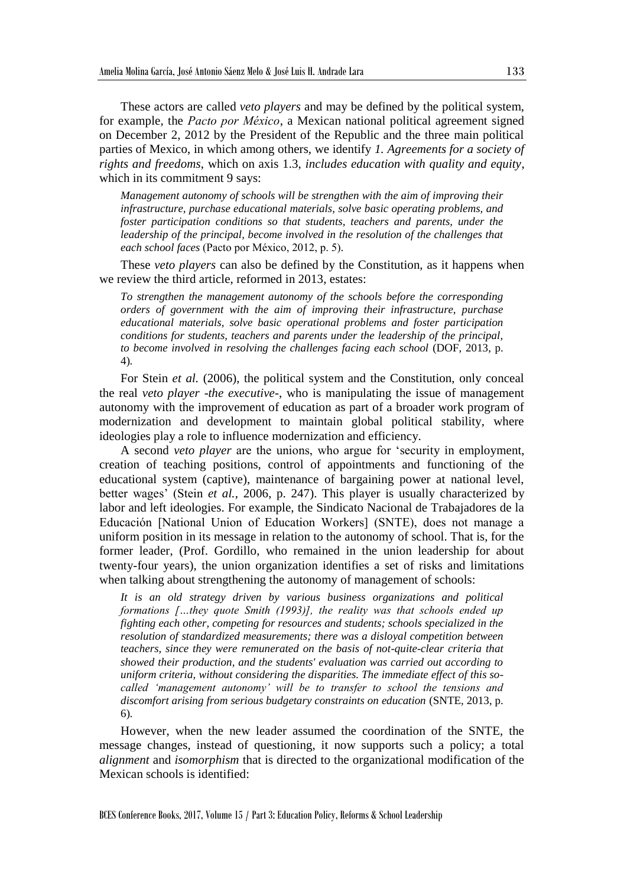These actors are called *veto players* and may be defined by the political system, for example, the *Pacto por México*, a Mexican national political agreement signed on December 2, 2012 by the President of the Republic and the three main political parties of Mexico, in which among others, we identify *1. Agreements for a society of rights and freedoms*, which on axis 1.3, *includes education with quality and equity*, which in its commitment 9 says:

*Management autonomy of schools will be strengthen with the aim of improving their infrastructure, purchase educational materials, solve basic operating problems, and foster participation conditions so that students, teachers and parents, under the leadership of the principal, become involved in the resolution of the challenges that each school faces* (Pacto por México, 2012, p. 5)*.*

These *veto players* can also be defined by the Constitution, as it happens when we review the third article, reformed in 2013, estates:

*To strengthen the management autonomy of the schools before the corresponding orders of government with the aim of improving their infrastructure, purchase educational materials, solve basic operational problems and foster participation conditions for students, teachers and parents under the leadership of the principal, to become involved in resolving the challenges facing each school (DOF, 2013, p.* 4)*.*

For Stein *et al.* (2006), the political system and the Constitution, only conceal the real *veto player* -*the executive*-, who is manipulating the issue of management autonomy with the improvement of education as part of a broader work program of modernization and development to maintain global political stability, where ideologies play a role to influence modernization and efficiency.

A second *veto player* are the unions, who argue for 'security in employment, creation of teaching positions, control of appointments and functioning of the educational system (captive), maintenance of bargaining power at national level, better wages' (Stein *et al.*, 2006, p. 247). This player is usually characterized by labor and left ideologies. For example, the Sindicato Nacional de Trabajadores de la Educación [National Union of Education Workers] (SNTE), does not manage a uniform position in its message in relation to the autonomy of school. That is, for the former leader, (Prof. Gordillo, who remained in the union leadership for about twenty-four years), the union organization identifies a set of risks and limitations when talking about strengthening the autonomy of management of schools:

*It is an old strategy driven by various business organizations and political formations […they quote Smith (1993)], the reality was that schools ended up fighting each other, competing for resources and students; schools specialized in the resolution of standardized measurements; there was a disloyal competition between teachers, since they were remunerated on the basis of not-quite-clear criteria that showed their production, and the students' evaluation was carried out according to uniform criteria, without considering the disparities. The immediate effect of this socalled 'management autonomy' will be to transfer to school the tensions and discomfort arising from serious budgetary constraints on education* (SNTE, 2013, p. 6)*.*

However, when the new leader assumed the coordination of the SNTE, the message changes, instead of questioning, it now supports such a policy; a total *alignment* and *isomorphism* that is directed to the organizational modification of the Mexican schools is identified: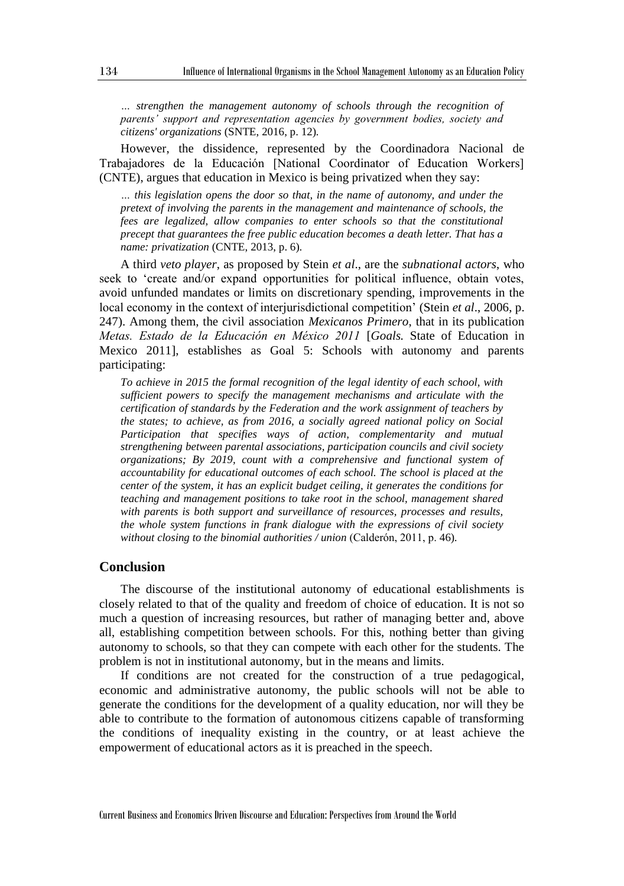*… strengthen the management autonomy of schools through the recognition of parents' support and representation agencies by government bodies, society and citizens' organizations* (SNTE, 2016, p. 12)*.*

However, the dissidence, represented by the Coordinadora Nacional de Trabajadores de la Educación [National Coordinator of Education Workers] (CNTE), argues that education in Mexico is being privatized when they say:

*… this legislation opens the door so that, in the name of autonomy, and under the pretext of involving the parents in the management and maintenance of schools, the fees are legalized, allow companies to enter schools so that the constitutional precept that guarantees the free public education becomes a death letter. That has a name: privatization* (CNTE, 2013, p. 6)*.*

A third *veto player*, as proposed by Stein *et al*., are the *subnational actors*, who seek to 'create and/or expand opportunities for political influence, obtain votes, avoid unfunded mandates or limits on discretionary spending, improvements in the local economy in the context of interjurisdictional competition' (Stein *et al*., 2006, p. 247). Among them, the civil association *Mexicanos Primero*, that in its publication *Metas. Estado de la Educación en México 2011* [*Goals.* State of Education in Mexico 2011], establishes as Goal 5: Schools with autonomy and parents participating:

*To achieve in 2015 the formal recognition of the legal identity of each school, with sufficient powers to specify the management mechanisms and articulate with the certification of standards by the Federation and the work assignment of teachers by the states; to achieve, as from 2016, a socially agreed national policy on Social Participation that specifies ways of action, complementarity and mutual strengthening between parental associations, participation councils and civil society organizations; By 2019, count with a comprehensive and functional system of accountability for educational outcomes of each school. The school is placed at the center of the system, it has an explicit budget ceiling, it generates the conditions for teaching and management positions to take root in the school, management shared with parents is both support and surveillance of resources, processes and results, the whole system functions in frank dialogue with the expressions of civil society without closing to the binomial authorities / union* (Calderón, 2011, p. 46)*.*

## **Conclusion**

The discourse of the institutional autonomy of educational establishments is closely related to that of the quality and freedom of choice of education. It is not so much a question of increasing resources, but rather of managing better and, above all, establishing competition between schools. For this, nothing better than giving autonomy to schools, so that they can compete with each other for the students. The problem is not in institutional autonomy, but in the means and limits.

If conditions are not created for the construction of a true pedagogical, economic and administrative autonomy, the public schools will not be able to generate the conditions for the development of a quality education, nor will they be able to contribute to the formation of autonomous citizens capable of transforming the conditions of inequality existing in the country, or at least achieve the empowerment of educational actors as it is preached in the speech.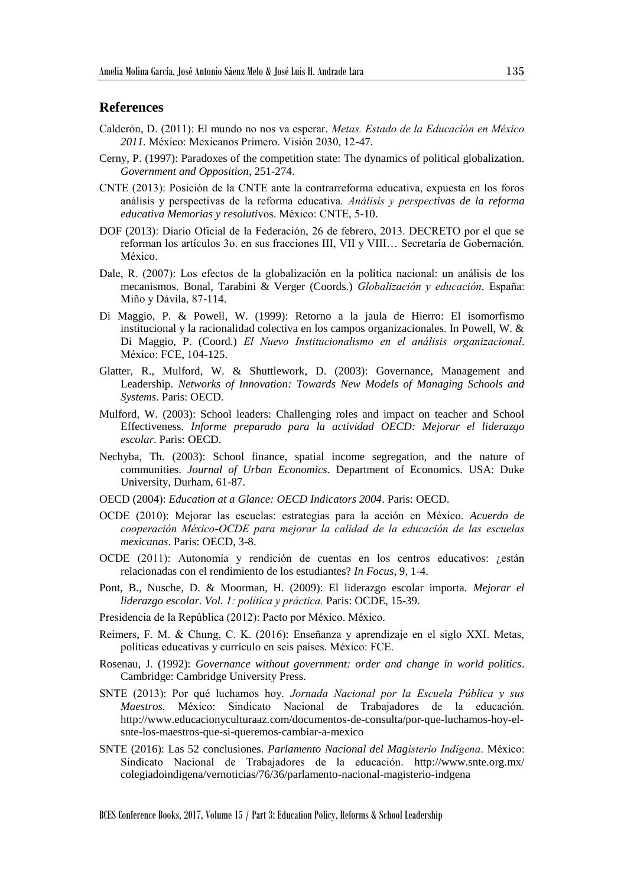## **References**

- Calderón, D. (2011): El mundo no nos va esperar. *Metas. Estado de la Educación en México 2011.* México: Mexicanos Primero. Visión 2030, 12-47.
- Cerny, P. (1997): Paradoxes of the competition state: The dynamics of political globalization. *Government and Opposition*, 251-274.
- CNTE (2013): Posición de la CNTE ante la contrarreforma educativa, expuesta en los foros análisis y perspectivas de la reforma educativa. *Análisis y perspectivas de la reforma educativa Memorias y resoluti*vos. México: CNTE, 5-10.
- DOF (2013): Diario Oficial de la Federación, 26 de febrero, 2013. DECRETO por el que se reforman los artículos 3o. en sus fracciones III, VII y VIII… Secretaría de Gobernación. México.
- Dale, R. (2007): Los efectos de la globalización en la política nacional: un análisis de los mecanismos. Bonal, Tarabini & Verger (Coords.) *Globalización y educación.* España: Miño y Dávila, 87-114.
- Di Maggio, P. & Powell, W. (1999): Retorno a la jaula de Hierro: El isomorfismo institucional y la racionalidad colectiva en los campos organizacionales. In Powell, W. & Di Maggio, P. (Coord.) *El Nuevo Institucionalismo en el análisis organizacional*. México: FCE, 104-125.
- Glatter, R., Mulford, W. & Shuttlework, D. (2003): Governance, Management and Leadership. *Networks of Innovation: Towards New Models of Managing Schools and Systems*. Paris: OECD.
- Mulford, W. (2003): School leaders: Challenging roles and impact on teacher and School Effectiveness. *Informe preparado para la actividad OECD: Mejorar el liderazgo escolar*. Paris: OECD.
- Nechyba, Th. (2003): School finance, spatial income segregation, and the nature of communities. *Journal of Urban Economics*. Department of Economics. USA: Duke University, Durham, 61-87.
- OECD (2004): *Education at a Glance: OECD Indicators 2004*. Paris: OECD.
- OCDE (2010): Mejorar las escuelas: estrategias para la acción en México. *Acuerdo de cooperación México-OCDE para mejorar la calidad de la educación de las escuelas mexicanas*. Paris: OECD, 3-8.
- OCDE (2011): Autonomía y rendición de cuentas en los centros educativos: ¿están relacionadas con el rendimiento de los estudiantes? *In Focus*, 9, 1-4.
- Pont, B., Nusche, D. & Moorman, H. (2009): El liderazgo escolar importa. *Mejorar el liderazgo escolar. Vol. 1: política y práctica.* Paris: OCDE, 15-39.
- Presidencia de la República (2012): Pacto por México. México.
- Reimers, F. M. & Chung, C. K. (2016): Enseñanza y aprendizaje en el siglo XXI. Metas, políticas educativas y currículo en seis países. México: FCE.
- Rosenau, J. (1992): *Governance without government: order and change in world politics*. Cambridge: Cambridge University Press.
- SNTE (2013): Por qué luchamos hoy. *Jornada Nacional por la Escuela Pública y sus Maestros*. México: Sindicato Nacional de Trabajadores de la educación. http://www.educacionyculturaaz.com/documentos-de-consulta/por-que-luchamos-hoy-elsnte-los-maestros-que-si-queremos-cambiar-a-mexico
- SNTE (2016): Las 52 conclusiones. *Parlamento Nacional del Magisterio Indígena*. México: Sindicato Nacional de Trabajadores de la educación. http://www.snte.org.mx/ colegiadoindigena/vernoticias/76/36/parlamento-nacional-magisterio-indgena

BCES Conference Books, 2017, Volume 15 / Part 3: Education Policy, Reforms & School Leadership